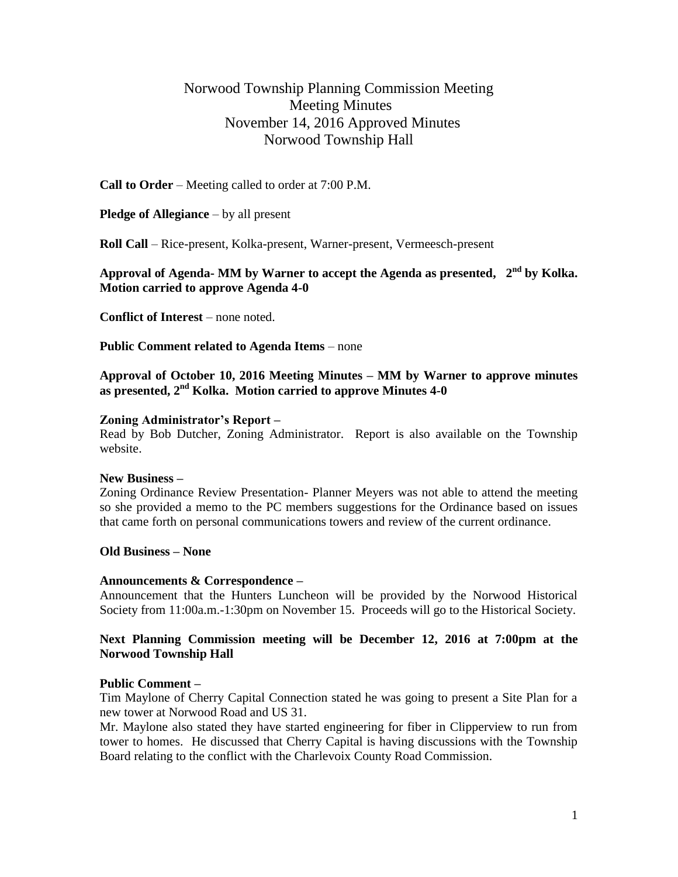# Norwood Township Planning Commission Meeting Meeting Minutes November 14, 2016 Approved Minutes Norwood Township Hall

**Call to Order** – Meeting called to order at 7:00 P.M.

**Pledge of Allegiance** – by all present

**Roll Call** – Rice-present, Kolka-present, Warner-present, Vermeesch-present

## **Approval of Agenda- MM by Warner to accept the Agenda as presented, 2 nd by Kolka. Motion carried to approve Agenda 4-0**

**Conflict of Interest** – none noted.

**Public Comment related to Agenda Items** – none

**Approval of October 10, 2016 Meeting Minutes – MM by Warner to approve minutes as presented, 2nd Kolka. Motion carried to approve Minutes 4-0**

#### **Zoning Administrator's Report –**

Read by Bob Dutcher, Zoning Administrator. Report is also available on the Township website.

#### **New Business –**

Zoning Ordinance Review Presentation- Planner Meyers was not able to attend the meeting so she provided a memo to the PC members suggestions for the Ordinance based on issues that came forth on personal communications towers and review of the current ordinance.

## **Old Business – None**

## **Announcements & Correspondence –**

Announcement that the Hunters Luncheon will be provided by the Norwood Historical Society from 11:00a.m.-1:30pm on November 15. Proceeds will go to the Historical Society.

## **Next Planning Commission meeting will be December 12, 2016 at 7:00pm at the Norwood Township Hall**

#### **Public Comment –**

Tim Maylone of Cherry Capital Connection stated he was going to present a Site Plan for a new tower at Norwood Road and US 31.

Mr. Maylone also stated they have started engineering for fiber in Clipperview to run from tower to homes. He discussed that Cherry Capital is having discussions with the Township Board relating to the conflict with the Charlevoix County Road Commission.